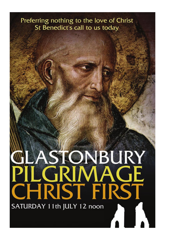### Preferring nothing to the love of Christ St Benedict's call to us today

# ASTONBURY GRIMAGE RIST FIRST SATURDAY 11th JULY 12 noon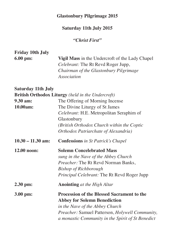#### **Glastonbury Pilgrimage 2015**

#### **Saturday 11th July 2015**

#### *"Christ First"*

## **Friday 10th July**

**6.00 pm: Vigil Mass** in the Undercroft of the Lady Chapel *Celebrant:* The Rt Revd Roger Jupp, *Chairman of the Glastonbury Pilgrimage Association*

| <b>British Orthodox Liturgy</b> (held in the Undercroft) |
|----------------------------------------------------------|
| The Offering of Morning Incense                          |
| The Divine Liturgy of St James                           |
| Celebrant: H.E. Metropolitan Seraphim of<br>Glastonbury  |
| (British Orthodox Church within the Coptic               |
| Orthodox Patriarchate of Alexandria)                     |
| <b>Confessions</b> in St Patrick's Chapel                |
| <b>Solemn Concelebrated Mass</b>                         |
| sung in the Nave of the Abbey Church                     |
| Preacher: The Rt Revd Norman Banks,                      |
| <b>Bishop of Richborough</b>                             |
| <i>Principal Celebrant:</i> The Rt Revd Roger Jupp       |
| <b>Anointing</b> at the High Altar                       |
| <b>Procession of the Blessed Sacrament to the</b>        |
| <b>Abbey for Solemn Benediction</b>                      |
| in the Nave of the Abbey Church                          |
| Preacher: Samuel Patterson, Holywell Community,          |
| a monastic Community in the Spirit of St Benedict        |
|                                                          |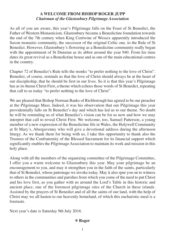#### **A WELCOME FROM BISHOP ROGER JUPP** *Chairman of the Glastonbury Pilgrimage Association*

As all of you are aware, this year's Pilgrimage falls on the Feast of St Benedict, the Father of Western Monasticism. Glastonbury became a Benedictine foundation towards the end of the 7th century when King Centwine of Wessex apparently introduced the Saxon monastic community, the successor of the original Celtic one, to the Rule of St Benedict. However, Glastonbury's flowering as a Benedictine community really began with the appointment of St Dunstan as its abbot around the year 940. From his time dates its great revival as a Benedictine house and as one of the main educational centres in the country.

Chapter 72 of Benedict's Rule tells the monks "to prefer nothing to the love of Christ". Benedict, of course, reminds us that the love of Christ should always be at the heart of our discipleship, that he should be first in our lives. So it is that this year's Pilgrimage has as its theme Christ First, a theme which echoes those words of St Benedict, repeating that call to us today "to prefer nothing to the love of Christ".

We are pleased that Bishop Norman Banks of Richborough has agreed to be our preacher at the Pilgrimage Mass. Indeed, it was his observation that our Pilgrimage this year providentially falls on St Benedict's day and which has led us to our theme. No doubt he will be reminding us of what Benedict's vision can be for us now and how we may interpret that call to reveal Christ First. We welcome, too, Samuel Patterson, a young member of a new expression of the Benedictine life in Wales, the Holywell Community at St Mary's, Abergavenny who will give a devotional address during the afternoon liturgy. As we thank them for being with us, I take this opportunity to thank also the Trustees of the Confraternity of the Blessed Sacrament for its financial support which significantly enables the Pilgrimage Association to maintain its work and mission in this holy place.

Along with all the members of the organizing committee of the Pilgrimage Committee, I offer you a warm welcome to Glastonbury this year. May your pilgrimage be an encouragement to you, and may it strengthen you in the faith of the saints, particularly that of St Benedict, whose patronage we invoke today. May it also spur you on to witness to others in the communities and parishes from which you come of the need to put Christ and his love first, as you gather with us around the Lord's Table in this historic and ancient place, one of the foremost pilgrimage sites of the Church in these islands. Assisted by the prayers of St Benedict and of all the saints of our land, with the help of Christ may we all hasten to our heavenly homeland, of which this eucharistic meal is a foretaste.

Next year's date is Saturday 9th July 2016.

#### **Roger**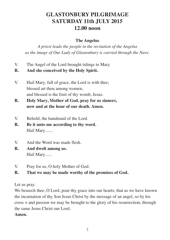#### **GLASTONBURY PILGRIMAGE SATURDAY 11th JULY 2015 12.00 noon**

#### **The Angelus**

*A priest leads the people in the recitation of the Angelus as the image of Our Lady of Glastonbury is carried through the Nave.*

- V. The Angel of the Lord brought tidings to Mary
- **R. And she conceived by the Holy Spirit.**
- V. Hail Mary, full of grace, the Lord is with thee; blessed art thou among women, and blessed is the fruit of thy womb, Jesus.
- **R. Holy Mary, Mother of God, pray for us sinners, now and at the hour of our death. Amen.**
- V. Behold, the handmaid of the Lord.
- **R. Be it unto me according to thy word.** Hail Mary.......
- V. And the Word was made flesh.
- **R. And dwelt among us.** Hail Mary......
- V. Pray for us, O holy Mother of God.
- **R. That we may be made worthy of the promises of God.**

Let us pray.

We beseech thee, O Lord, pour thy grace into our hearts; that as we have known the incarnation of thy Son Jesus Christ by the message of an angel, so by his cross + and passion we may be brought to the glory of his resurrection; through the same Jesus Christ our Lord.

#### **Amen.**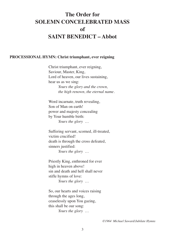## **The Order for SOLEMN CONCELEBRATED MASS of SAINT BENEDICT – Abbot**

#### **PROCESSIONAL HYMN: Christ triumphant, ever reigning**

Christ triumphant, ever reigning, Saviour, Master, King, Lord of heaven, our lives sustaining, hear us as we sing: *Yours the glory and the crown, the high renown, the eternal name.*

Word incarnate, truth revealing, Son of Man on earth! power and majesty concealing by Your humble birth: *Yours the glory …*

Suffering servant, scorned, ill-treated, victim crucified! death is through the cross defeated, sinners justified:

*Yours the glory …*

Priestly King, enthroned for ever high in heaven above! sin and death and hell shall never stifle hymns of love: *Yours the glory …*

So, our hearts and voices raising through the ages long, ceaselessly upon You gazing, this shall be our song: *Yours the glory …*

*©1964 Michael Saward/Jubilate Hymns*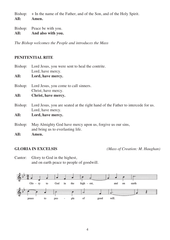Bishop: + In the name of the Father, and of the Son, and of the Holy Spirit. **All: Amen.**

Bishop: Peace be with you. **All: And also with you.**

*The Bishop welcomes the People and introduces the Mass*

#### **PENITENTIAL RITE**

Bishop: Lord Jesus, you were sent to heal the contrite. Lord, have mercy. **All: Lord, have mercy.** Bishop: Lord Jesus, you come to call sinners. Christ, have mercy. **All: Christ, have mercy.** Bishop: Lord Jesus, you are seated at the right hand of the Father to intercede for us. Lord, have mercy. **All: Lord, have mercy.** Bishop: May Almighty God have mercy upon us, forgive us our sins, and bring us to everlasting life. **All: Amen.**

**GLORIA IN EXCELSIS** *(Mass of Creation: M. Haughan)*

Cantor: Glory to God in the highest, and on earth peace to people of goodwill.

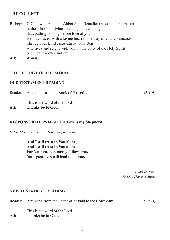#### **THE COLLECT**

Bishop: O God, who made the Abbot Saint Benedict an outstanding master in the school of divine service, grant, we pray, that, putting nothing before love of you, we may hasten with a loving heart in the way of your commands. Through our Lord Jesus Christ, your Son, who lives and reigns with you, in the unity of the Holy Spirit, one God, for ever and ever.

**All: Amen.**

#### **THE LITURGY OF THE WORD**

#### **OLD TESTAMENT READING**

Reader: A reading from the Book of Proverbs (*2:1-9)*

This is the word of the Lord.

**All: Thanks be to God.**

#### **RESPONSORIAL PSALM: The Lord's my Shepherd**

*Soloist to sing verses, all to sing Response:*

**And I will trust in You alone, And I will trust in You alone, For Your endless mercy follows me, Your goodness will lead me home.**

> *Stuart Townend © 1996 Thankyou Music*

#### **NEW TESTAMENT READING**

Reader: A reading from the Letter of St Paul to the Colossians *(2:6-8)*

This is the word of the Lord.

**All: Thanks be to God.**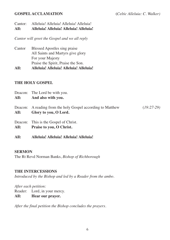#### **GOSPEL ACCLAMATION (***Celtic Alleluia: C. Walker)*

#### Cantor: Alleluia! Alleluia! Alleluia! Alleluia! **All: Alleluia! Alleluia! Alleluia! Alleluia!**

*Cantor will greet the Gospel and we all reply*

Cantor Blessed Apostles sing praise All Saints and Martyrs give glory For your Majesty Praise the Spirit, Praise the Son. **All: Alleluia! Alleluia! Alleluia! Alleluia!**

#### **THE HOLY GOSPEL**

| $(19:27-29)$ |
|--------------|
|              |
|              |

#### **SERMON**

The Rt Revd Norman Banks, *Bishop of Richborough*

#### **THE INTERCESSIONS**

*Introduced by the Bishop and led by a Reader from the ambo.*

*After each petition:*

Reader: Lord, in your mercy.

**All: Hear our prayer.**

*After the final petition the Bishop concludes the prayers.*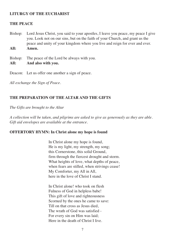#### **LITURGY OF THE EUCHARIST**

#### **THE PEACE**

Bishop: Lord Jesus Christ, you said to your apostles, I leave you peace, my peace I give you. Look not on our sins, but on the faith of your Church, and grant us the peace and unity of your kingdom where you live and reign for ever and ever.

**All: Amen.**

Bishop: The peace of the Lord be always with you. **All: And also with you.**

Deacon: Let us offer one another a sign of peace.

*All exchange the Sign of Peace.*

#### **THE PREPARATION OF THE ALTAR AND THE GIFTS**

*The Gifts are brought to the Altar*

*A collection will be taken, and pilgrims are asked to give as generously as they are able. Gift aid envelopes are available at the entrance.*

#### **OFFERTORY HYMN: In Christ alone my hope is found**

In Christ alone my hope is found, He is my light, my strength, my song; this Cornerstone, this solid Ground, firm through the fiercest drought and storm. What heights of love, what depths of peace, when fears are stilled, when strivings cease! My Comforter, my All in All, here in the love of Christ I stand.

In Christ alone! who took on flesh Fulness of God in helpless babe! This gift of love and righteousness Scorned by the ones he came to save: Till on that cross as Jesus died, The wrath of God was satisfied - For every sin on Him was laid; Here in the death of Christ I live.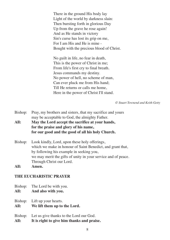There in the ground His body lay Light of the world by darkness slain: Then bursting forth in glorious Day Up from the grave he rose again! And as He stands in victory Sin's curse has lost its grip on me, For I am His and He is mine - Bought with the precious blood of Christ.

No guilt in life, no fear in death, This is the power of Christ in me; From life's first cry to final breath. Jesus commands my destiny. No power of hell, no scheme of man, Can ever pluck me from His hand; Till He returns or calls me home, Here in the power of Christ I'll stand.

*© Stuart Townend and Keith Getty*

| Bishop: | Pray, my brothers and sisters, that my sacrifice and yours    |
|---------|---------------------------------------------------------------|
|         | may be acceptable to God, the almighty Father.                |
| All:    | May the Lord accept the sacrifice at your hands,              |
|         | for the praise and glory of his name,                         |
|         | for our good and the good of all his holy Church.             |
| Bishop: | Look kindly, Lord, upon these holy offerings,                 |
|         | which we make in honour of Saint Benedict, and grant that,    |
|         | by following his example in seeking you,                      |
|         | we may merit the gifts of unity in your service and of peace. |
|         | Through Christ our Lord.                                      |
| All:    | Amen.                                                         |

Bishop: The Lord be with you.

**All: And also with you.**

Bishop: Lift up your hearts.

**All: We lift them up to the Lord.**

Bishop: Let us give thanks to the Lord our God.

**All: It is right to give him thanks and praise.**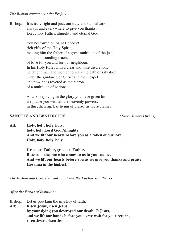#### *The Bishop commences the Preface*

Bishop: It is truly right and just, our duty and our salvation, always and everywhere to give you thanks, Lord, holy Father, almighty and eternal God.

> You bestowed on Saint Benedict rich gifts of the Holy Spirit, making him the father of a great multitude of the just, and an outstanding teacher of love for you and for our neighbour. In his Holy Rule, with a clear and wise discretion, he taught men and women to walk the path of salvation under the guidance of Christ and the Gospel, and now he is revered as the patron of a multitude of nations.

And so, rejoicing in the glory you have given him, we praise you with all the heavenly powers, in this, their ageless hymn of praise, as we acclaim :

#### **SANCTUS AND BENEDICTUS** *(Tune: Jimmy Owens)*

**All: Holy, holy, holy, holy, holy, holy Lord God Almighty. And we lift our hearts before you as a token of our love. Holy, holy, holy, holy.**

> **Gracious Father, gracious Father. Blessed is the one who comes to us in your name. And we lift our hearts before you as we give you thanks and praise. Hosanna in the highest.**

*The Bishop and Concelebrants continue the Eucharistic Prayer*

*After the Words of Institution*

Bishop: Let us proclaim the mystery of faith. **All: Risen Jesus, risen Jesus, by your dying you destroyed our death, O Jesus, and we lift our hands before you as we wait for your return, risen Jesus, risen Jesus.**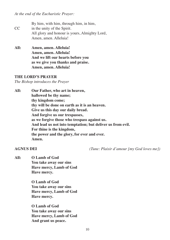*At the end of the Eucharistic Prayer:*

- By him, with him, through him, in him, CC in the unity of the Spirit. All glory and honour is yours, Almighty Lord, Amen, amen. Alleluia!
- **All: Amen, amen. Alleluia! Amen, amen. Alleluia! And we lift our hearts before you as we give you thanks and praise. Amen, amen. Alleluia!**

#### **THE LORD'S PRAYER**

*The Bishop introduces the Prayer*

**All: Our Father, who art in heaven, hallowed be thy name; thy kingdom come; thy will be done on earth as it is an heaven. Give us this day our daily bread. And forgive us our trespasses, as we forgive those who trespass against us. And lead us not into temptation; but deliver us from evil. For thine is the kingdom, the power and the glory, for ever and ever. Amen.**

**AGNUS DEI** *(Tune: Plaisir d'amour [my God loves me])*

**All: O Lamb of God You take away our sins Have mercy, Lamb of God Have mercy.**

> **O Lamb of God You take away our sins Have mercy, Lamb of God Have mercy.**

> **O Lamb of God You take away our sins Have mercy, Lamb of God And grant us peace.**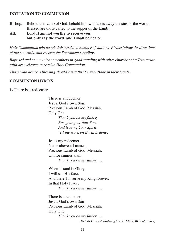#### **INVITATION TO COMMUNION**

- Bishop: Behold the Lamb of God, behold him who takes away the sins of the world. Blessed are those called to the supper of the Lamb.
- **All: Lord, I am not worthy to receive you, but only say the word, and I shall be healed.**

*Holy Communion will be administered at a number of stations. Please follow the directions of the stewards, and receive the Sacrament standing.*

*Baptised and communicant members in good standing with other churches of a Trinitarian faith are welcome to receive Holy Communion.* 

*Those who desire a blessing should carry this Service Book in their hands.*

#### **COMMUNION HYMNS**

#### **1. There is a redeemer**

There is a redeemer, Jesus, God's own Son, Precious Lamb of God, Messiah, Holy One,

*Thank you oh my father, For giving us Your Son, And leaving Your Spirit, 'Til the work on Earth is done.*

Jesus my redeemer, Name above all names, Precious Lamb of God, Messiah, Oh, for sinners slain. *Thank you oh my father, …*

When I stand in Glory, I will see His face, And there I'll serve my King forever, In that Holy Place. *Thank you oh my father, …*

There is a redeemer, Jesus, God's own Son Precious Lamb of God, Messiah, Holy One. *Thank you oh my father, … Melody Green © Birdwing Music (EMI CMG Publishing)*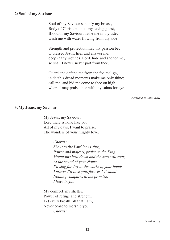#### **2: Soul of my Saviour**

Soul of my Saviour sanctify my breast, Body of Christ, be thou my saving guest, Blood of my Saviour, bathe me in thy tide, wash me with water flowing from thy side.

Strength and protection may thy passion be, O blessed Jesus, hear and answer me; deep in thy wounds, Lord, hide and shelter me, so shall I never, never part from thee.

Guard and defend me from the foe malign, in death's dread moments make me only thine; call me, and bid me come to thee on high, where I may praise thee with thy saints for aye.

*Ascribed to John XXII*

#### **3. My Jesus, my Saviour**

My Jesus, my Saviour, Lord there is none like you. All of my days, I want to praise, The wonders of your mighty love.

> *Chorus: Shout to the Lord let us sing, Power and majesty, praise to the King. Mountains bow down and the seas will roar, At the sound of your Name. I'll sing for Joy at the works of your hands. Forever I'll love you, forever I'll stand. Nothing compares to the promise, I have in you.*

My comfort, my shelter, Power of refuge and strength. Let every breath, all that I am, Never cease to worship you. *Chorus:*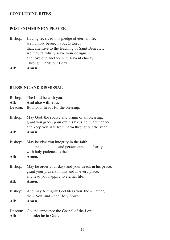#### **CONCLUDING RITES**

#### **POST-COMMUNION PRAYER**

- Bishop: Having received this pledge of eternal life, we humbly beseech you, O Lord, that, attentive to the teaching of Saint Benedict, we may faithfully serve your designs and love one another with fervent charity. Through Christ our Lord.
- **All: Amen.**

#### **BLESSING AND DISMISSAL**

Bishop: The Lord be with you.

| All:    | And also with you.                                                                                                                                          |
|---------|-------------------------------------------------------------------------------------------------------------------------------------------------------------|
|         | Deacon: Bow your heads for the blessing.                                                                                                                    |
| Bishop: | May God, the source and origin of all blessing,<br>grant you grace, pour out his blessing in abundance,<br>and keep you safe from harm throughout the year. |
| All:    | Amen.                                                                                                                                                       |
| Bishop: | May he give you integrity in the faith,<br>endurance in hope, and perseverance in charity<br>with holy patience to the end.                                 |
| All:    | Amen.                                                                                                                                                       |
| Bishop: | May he order your days and your deeds in his peace,<br>grant your prayers in this and in every place,<br>and lead you happily to eternal life.              |
| All:    | Amen.                                                                                                                                                       |
| Bishop: | And may Almighty God bless you, the + Father,<br>the $+$ Son, and $+$ the Holy Spirit.                                                                      |
| All:    | Amen.                                                                                                                                                       |
| All:    | Deacon: Go and announce the Gospel of the Lord.<br>Thanks be to God.                                                                                        |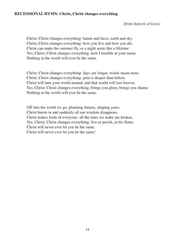#### **RECESSIONAL HYMN: Christ, Christ changes everything**

*(from Aspects of Love)*

Christ, Christ changes everything: hands and faces, earth and sky. Christ, Christ changes everything: how you live and how you die. Christ can make the summer fly, or a night seem like a lifetime. Yes, Christ, Christ changes everything, now I tremble at your name. Nothing in the world will ever be the same.

Christ, Christ changes everything: days are longer, words mean more. Christ, Christ changes everything: pain is deeper than before. Christ will turn your world around, and that world will last forever. Yes, Christ, Christ changes everything, brings you glory, brings you shame. Nothing in the world will ever be the same.

Off into the world we go, planning futures, shaping years. Christ bursts in and suddenly all our wisdom disappears. Christ makes fools of everyone: all the rules we make are broken. Yes, Christ, Christ changes everything: live or perish, in his flame. Christ will never ever let you be the same. Christ will never ever let you be the same!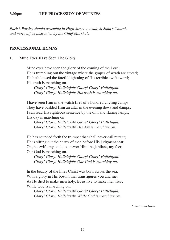#### **3.00pm THE PROCESSION OF WITNESS**

*Parish Parties should assemble in High Street, outside St John's Church, and move off as instructed by the Chief Marshal.*

#### **PROCESSIONAL HYMNS**

#### **1. Mine Eyes Have Seen The Glory**

Mine eyes have seen the glory of the coming of the Lord; He is trampling out the vintage where the grapes of wrath are stored; He hath loosed the fateful lightning of His terrible swift sword; His truth is marching on.

*Glory! Glory! Hallelujah! Glory! Glory! Hallelujah! Glory! Glory! Hallelujah! His truth is marching on.*

I have seen Him in the watch fires of a hundred circling camps They have builded Him an altar in the evening dews and damps; I can read His righteous sentence by the dim and flaring lamps; His day is marching on.

*Glory! Glory! Hallelujah! Glory! Glory! Hallelujah! Glory! Glory! Hallelujah! His day is marching on.*

He has sounded forth the trumpet that shall never call retreat; He is sifting out the hearts of men before His judgment seat; Oh, be swift, my soul, to answer Him! be jubilant, my feet; Our God is marching on.

*Glory! Glory! Hallelujah! Glory! Glory! Hallelujah! Glory! Glory! Hallelujah! Our God is marching on.*

In the beauty of the lilies Christ was born across the sea, With a glory in His bosom that transfigures you and me: As He died to make men holy, let us live to make men free; While God is marching on.

*Glory! Glory! Hallelujah! Glory! Glory! Hallelujah! Glory! Glory! Hallelujah! While God is marching on.*

*Julian Ward Howe*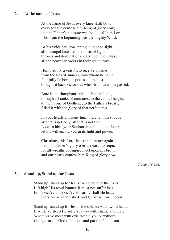#### **2. At the name of Jesus**

At the name of Jesus every knee shall bow, every tongue confess him King of glory now; 'tis the Father's pleasure we should call him Lord, who from the beginning was the mighty Word.

At his voice creation sprang at once to sight: all the angel faces, all the hosts of light, thrones and dominations, stars upon their way, all the heavenly orders in their great array.

Humbled for a season, to receive a name from the lips of sinners, unto whom he came; faithfully he bore it spotless to the last, brought it back victorious when from death he passed;

Bore it up triumphant, with its human light, through all ranks of creatures, to the central height, to the throne of Godhead, to the Father's breast, filled it with the glory of that perfect rest.

In your hearts enthrone him; there let him subdue all that is not holy, all that is not true. Look to him, your Saviour, in temptations' hour; let his will enfold you in its light and power.

Christians, this Lord Jesus shall return again, with his Father's glory o'er the earth to reign; for all wreaths of empire meet upon his brow, and our hearts confess him King of glory now.

*Caroline M. Noel*

#### **3. Stand up, Stand up for Jesus**

Stand up, stand up for Jesus, ye soldiers of the cross; Lift high His royal banner, it must not suffer loss. From vict'ry unto vict'ry His army shall He lead, Till every foe is vanquished, and Christ is Lord indeed.

Stand up, stand up for Jesus, the solemn watchword hear; If while ye sleep He suffers, away with shame and fear; Where'er ye meet with evil, within you or without, Charge for the God of battles, and put the foe to rout.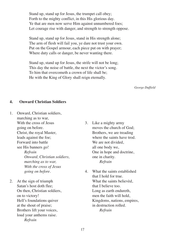Stand up, stand up for Jesus, the trumpet call obey; Forth to the mighty conflict, in this His glorious day. Ye that are men now serve Him against unnumbered foes; Let courage rise with danger, and strength to strength oppose.

Stand up, stand up for Jesus, stand in His strength alone; The arm of flesh will fail you, ye dare not trust your own. Put on the Gospel armour, each piece put on with prayer; Where duty calls or danger, be never wanting there.

Stand up, stand up for Jesus, the strife will not be long; This day the noise of battle, the next the victor's song. To him that overcometh a crown of life shall be; He with the King of Glory shall reign eternally.

*George Duffield*

#### **4. Onward Christian Soldiers**

- 1. Onward, Christian soldiers, marching as to war, With the cross of Jesus going on before. Christ, the royal Master, leads against the foe; Forward into battle see His banners go! *Refrain Onward, Christian soldiers, marching as to war, With the cross of Jesus going on before.*
- 2. At the sign of triumph Satan's host doth flee; On then, Christian soldiers, on to victory! Hell's foundations quiver at the shout of praise; Brothers lift your voices, loud your anthems raise. *Refrain*
- 3. Like a mighty army moves the church of God; Brothers, we are treading where the saints have trod. We are not divided. all one body we, One in hope and doctrine, one in charity. *Refrain*
- 4. What the saints established that I hold for true. What the saints believèd, that I believe too. Long as earth endureth, men the faith will hold, Kingdoms, nations, empires, in destruction rolled. *Refrain*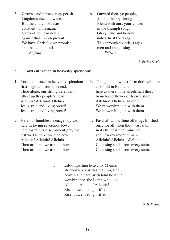- 5. Crowns and thrones may perish, kingdoms rise and wane, But the church of Jesus constant will remain. Gates of hell can never 'gainst that church prevail; We have Christ's own promise, and that cannot fail. *Refrain*
- 6. Onward then, ye people, join our happy throng, Blend with ours your voices in the triumph song. Glory, laud and honour unto Christ the King, This through countless ages men and angels sing. *Refrain*

*S. Baring-Gould*

#### **5. Lord enthroned in heavenly splendour**

- 1. Lord, enthroned in heavenly splendour, first-begotten from the dead. Thou alone, our strong defender, liftest up thy people's head. Alleluia! Alleluia! Alleluia! Jesus, true and living bread! Jesus, true and living bread!
- 2. Here our humblest homage pay we, here in loving reverence bow; here for faith's discernment pray we, lest we fail to know thee now. Alleluia! Alleluia! Alleluia! Thou art here, we ask not how. Thou art here, we ask not how.
- 3. Though the lowliest form doth veil thee as of old in Bethlehem, here as there thine angels hail thee, branch and flower of Jesse's stem. Alleluia! Alleluia! Alleluia! We in worship join with them. We in worship join with them.
- 4. Paschal Lamb, thine offering, finished once for all when thou wast slain, in its fullness undiminished shall for evermore remain. Alleluia! Alleluia! Alleluia! Cleansing souls from every stain. Cleansing souls from every stain.
- 5. Life-imparting heavenly Manna, stricken Rock with streaming side, heaven and earth with loud hosanna worship thee, the Lamb who died. Alleluia! Alleluia! Alleluia! Risen, ascended, glorified! Risen, ascended, glorified!

*G. H. Bourne*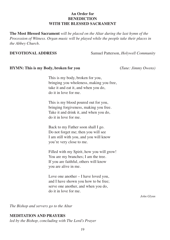#### **An Order for BENEDICTION WITH THE BLESSED SACRAMENT**

**The Most Blessed Sacrament** *will be placed on the Altar during the last hymn of the Procession of Witness. Organ music will be played while the people take their places in the Abbey Church.*

**DEVOTIONAL ADDRESS** Samuel Patterson, *Holywell Community* 

#### **HYMN: This is my Body, broken for you (***Tune: Jimmy Owens)*

This is my body, broken for you, bringing you wholeness, making you free, take it and eat it, and when you do, do it in love for me.

This is my blood poured out for you, bringing forgiveness, making you free. Take it and drink it, and when you do, do it in love for me.

Back to my Father soon shall I go. Do not forget me; then you will see I am still with you, and you will know you're very close to me.

Filled with my Spirit, how you will grow! You are my branches; I am the tree. If you are faithful, others will know you are alive in me.

Love one another – I have loved you, and I have shown you how to be free; serve one another, and when you do, do it in love for me.

*John Glynn*

*The Bishop and servers go to the Altar*

#### **MEDITATION AND PRAYERS**

*led by the Bishop, concluding with The Lord's Prayer*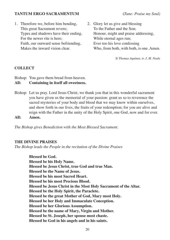#### **TANTUM ERGO SACRAMENTUM (***Tune: Praise my Soul)*

- 1. Therefore we, before him bending, 2. Glory let us give and blessing This great Sacrament revere; To the Father and the Son; For the newer rite is here;<br>
While eternal ages run; Faith, our outward sense befriending, Ever too his love confessing
- Types and shadows have their ending, Honour, might and praise addressing, Makes the inward vision clear. Who, from both, with both, is one. Amen.

*St Thomas Aquinas, tr. J. M. Neale*

#### **COLLECT**

Bishop: You gave them bread from heaven.

#### **All: Containing in itself all sweetness.**

- Bishop: Let us pray. Lord Jesus Christ, we thank you that in this wonderful sacrament you have given us the memorial of your passion: grant us so to reverence the sacred mysteries of your body and blood that we may know within ourselves, and show forth in our lives, the fruits of your redemption; for you are alive and reign with the Father in the unity of the Holy Spirit, one God, now and for ever.
- **All: Amen.**

*The Bishop gives Benediction with the Most Blessed Sacrament.*

#### **THE DIVINE PRAISES**

*The Bishop leads the People in the recitation of the Divine Praises*

**Blessed be God. Blessed be his Holy Name. Blessed be Jesus Christ, true God and true Man. Blessed be the Name of Jesus. Blessed be his most Sacred Heart. Blessed be his most Precious Blood. Blessed be Jesus Christ in the Most Holy Sacrament of the Altar. Blessed be the Holy Spirit, the Paraclete. Blessed be the great Mother of God, Mary most Holy. Blessed be her Holy and Immaculate Conception. Blessed be her Glorious Assumption. Blessed be the name of Mary, Virgin and Mother. Blessed be St. Joseph, her spouse most chaste. Blessed be God in his angels and in his saints.**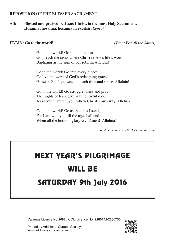#### **REPOSITION OF THE BLESSED SACRAMENT**

#### **All: Blessed and praised be Jesus Christ, in the most Holy Sacrament. Hosanna, hosanna, hosanna in excelsis.** *Repeat*

#### **HYMN: Go to the world!** *(Tune: For all the Saints)*

Go to the world! Go into all the earth; Go preach the cross where Christ renew's life's worth, Baptizing as the sign of our rebirth. Alleluia!

Go to the world! Go into every place; Go live the word of God's redeeming grace; Go seek God's presence in each time and space. Alleluia!

Go to the world! Go struggle, bless and pray; The nights of tears give way to joyful day. As servant Church, you follow Christ's own way. Alleluia!

Go to the world! Go as the ones I send, For I am with you till the age shall end, When all the hosts of glory cry 'Amen!' Alleluia!

*Sylvia G. Dunstan ©GIA Publications Inc*

## **NEXT YEAR'S PILGRIMAGE WILL BE SATURDAY 9th July 2016**

Calamus Licence No 2682 / CCLI Licence No. 2286742/2286735



Printed by Additional Curates Society www.additionalcurates.co.uk